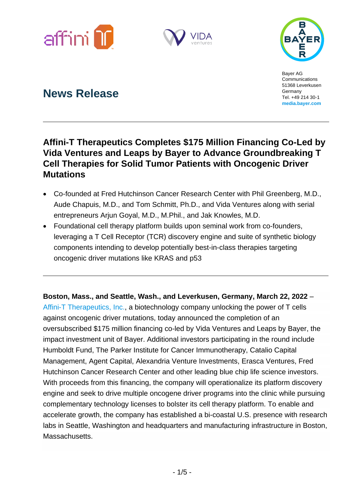





Bayer AG Communications 51368 Leverkusen Germany Tel. +49 214 30-1 **[media.bayer.com](about:blank)**

# **News Release**

## **Affini-T Therapeutics Completes \$175 Million Financing Co-Led by Vida Ventures and Leaps by Bayer to Advance Groundbreaking T Cell Therapies for Solid Tumor Patients with Oncogenic Driver Mutations**

- Co-founded at Fred Hutchinson Cancer Research Center with Phil Greenberg, M.D., Aude Chapuis, M.D., and Tom Schmitt, Ph.D., and Vida Ventures along with serial entrepreneurs Arjun Goyal, M.D., M.Phil., and Jak Knowles, M.D.
- Foundational cell therapy platform builds upon seminal work from co-founders, leveraging a T Cell Receptor (TCR) discovery engine and suite of synthetic biology components intending to develop potentially best-in-class therapies targeting oncogenic driver mutations like KRAS and p53

**Boston, Mass., and Seattle, Wash., and Leverkusen, Germany, March 22, 2022** – [Affini-T Therapeutics, Inc.,](https://www.affinittx.com/) a biotechnology company unlocking the power of T cells against oncogenic driver mutations, today announced the completion of an oversubscribed \$175 million financing co-led by Vida Ventures and Leaps by Bayer, the impact investment unit of Bayer. Additional investors participating in the round include Humboldt Fund, The Parker Institute for Cancer Immunotherapy, Catalio Capital Management, Agent Capital, Alexandria Venture Investments, Erasca Ventures, Fred Hutchinson Cancer Research Center and other leading blue chip life science investors. With proceeds from this financing, the company will operationalize its platform discovery engine and seek to drive multiple oncogene driver programs into the clinic while pursuing complementary technology licenses to bolster its cell therapy platform. To enable and accelerate growth, the company has established a bi-coastal U.S. presence with research labs in Seattle, Washington and headquarters and manufacturing infrastructure in Boston, Massachusetts.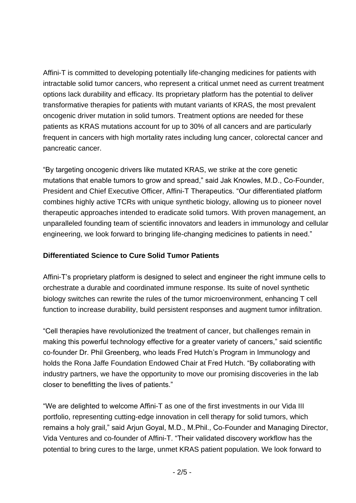Affini-T is committed to developing potentially life-changing medicines for patients with intractable solid tumor cancers, who represent a critical unmet need as current treatment options lack durability and efficacy. Its proprietary platform has the potential to deliver transformative therapies for patients with mutant variants of KRAS, the most prevalent oncogenic driver mutation in solid tumors. Treatment options are needed for these patients as KRAS mutations account for up to 30% of all cancers and are particularly frequent in cancers with high mortality rates including lung cancer, colorectal cancer and pancreatic cancer.

"By targeting oncogenic drivers like mutated KRAS, we strike at the core genetic mutations that enable tumors to grow and spread," said Jak Knowles, M.D., Co-Founder, President and Chief Executive Officer, Affini-T Therapeutics. "Our differentiated platform combines highly active TCRs with unique synthetic biology, allowing us to pioneer novel therapeutic approaches intended to eradicate solid tumors. With proven management, an unparalleled founding team of scientific innovators and leaders in immunology and cellular engineering, we look forward to bringing life-changing medicines to patients in need."

### **Differentiated Science to Cure Solid Tumor Patients**

Affini-T's proprietary platform is designed to select and engineer the right immune cells to orchestrate a durable and coordinated immune response. Its suite of novel synthetic biology switches can rewrite the rules of the tumor microenvironment, enhancing T cell function to increase durability, build persistent responses and augment tumor infiltration.

"Cell therapies have revolutionized the treatment of cancer, but challenges remain in making this powerful technology effective for a greater variety of cancers," said scientific co-founder Dr. Phil Greenberg, who leads Fred Hutch's Program in Immunology and holds the Rona Jaffe Foundation Endowed Chair at Fred Hutch. "By collaborating with industry partners, we have the opportunity to move our promising discoveries in the lab closer to benefitting the lives of patients."

"We are delighted to welcome Affini-T as one of the first investments in our Vida III portfolio, representing cutting-edge innovation in cell therapy for solid tumors, which remains a holy grail," said Arjun Goyal, M.D., M.Phil., Co-Founder and Managing Director, Vida Ventures and co-founder of Affini-T. "Their validated discovery workflow has the potential to bring cures to the large, unmet KRAS patient population. We look forward to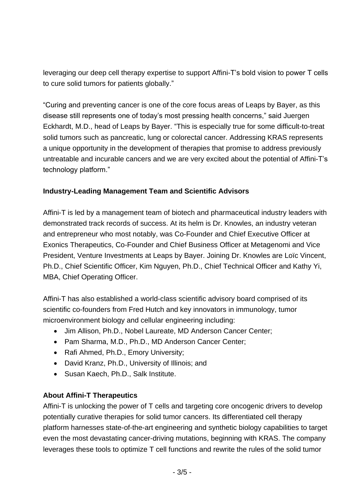leveraging our deep cell therapy expertise to support Affini-T's bold vision to power T cells to cure solid tumors for patients globally."

"Curing and preventing cancer is one of the core focus areas of Leaps by Bayer, as this disease still represents one of today's most pressing health concerns," said Juergen Eckhardt, M.D., head of Leaps by Bayer. "This is especially true for some difficult-to-treat solid tumors such as pancreatic, lung or colorectal cancer. Addressing KRAS represents a unique opportunity in the development of therapies that promise to address previously untreatable and incurable cancers and we are very excited about the potential of Affini-T's technology platform."

#### **Industry-Leading Management Team and Scientific Advisors**

Affini-T is led by a management team of biotech and pharmaceutical industry leaders with demonstrated track records of success. At its helm is Dr. Knowles, an industry veteran and entrepreneur who most notably, was Co-Founder and Chief Executive Officer at Exonics Therapeutics, Co-Founder and Chief Business Officer at Metagenomi and Vice President, Venture Investments at Leaps by Bayer. Joining Dr. Knowles are Loïc Vincent, Ph.D., Chief Scientific Officer, Kim Nguyen, Ph.D., Chief Technical Officer and Kathy Yi, MBA, Chief Operating Officer.

Affini-T has also established a world-class scientific advisory board comprised of its scientific co-founders from Fred Hutch and key innovators in immunology, tumor microenvironment biology and cellular engineering including:

- Jim Allison, Ph.D., Nobel Laureate, MD Anderson Cancer Center;
- Pam Sharma, M.D., Ph.D., MD Anderson Cancer Center;
- Rafi Ahmed, Ph.D., Emory University;
- David Kranz, Ph.D., University of Illinois; and
- Susan Kaech, Ph.D., Salk Institute.

#### **About Affini-T Therapeutics**

Affini-T is unlocking the power of T cells and targeting core oncogenic drivers to develop potentially curative therapies for solid tumor cancers. Its differentiated cell therapy platform harnesses state-of-the-art engineering and synthetic biology capabilities to target even the most devastating cancer-driving mutations, beginning with KRAS. The company leverages these tools to optimize T cell functions and rewrite the rules of the solid tumor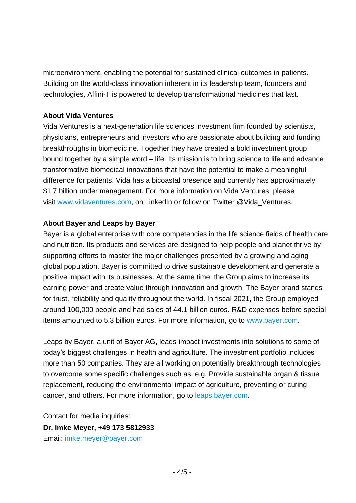microenvironment, enabling the potential for sustained clinical outcomes in patients. Building on the world-class innovation inherent in its leadership team, founders and technologies, Affini-T is powered to develop transformational medicines that last.

#### **About Vida Ventures**

Vida Ventures is a next-generation life sciences investment firm founded by scientists, physicians, entrepreneurs and investors who are passionate about building and funding breakthroughs in biomedicine. Together they have created a bold investment group bound together by a simple word – life. Its mission is to bring science to life and advance transformative biomedical innovations that have the potential to make a meaningful difference for patients. Vida has a bicoastal presence and currently has approximately \$1.7 billion under management. For more information on Vida Ventures, please visit [www.vidaventures.com,](http://www.vidaventures.com/) on LinkedIn or follow on Twitter @Vida\_Ventures.

#### **About Bayer and Leaps by Bayer**

Bayer is a global enterprise with core competencies in the life science fields of health care and nutrition. Its products and services are designed to help people and planet thrive by supporting efforts to master the major challenges presented by a growing and aging global population. Bayer is committed to drive sustainable development and generate a positive impact with its businesses. At the same time, the Group aims to increase its earning power and create value through innovation and growth. The Bayer brand stands for trust, reliability and quality throughout the world. In fiscal 2021, the Group employed around 100,000 people and had sales of 44.1 billion euros. R&D expenses before special items amounted to 5.3 billion euros. For more information, go to [www.bayer.com.](http://www.bayer.com/)

Leaps by Bayer, a unit of Bayer AG, leads impact investments into solutions to some of today's biggest challenges in health and agriculture. The investment portfolio includes more than 50 companies. They are all working on potentially breakthrough technologies to overcome some specific challenges such as, e.g. Provide sustainable organ & tissue replacement, reducing the environmental impact of agriculture, preventing or curing cancer, and others. For more information, go to [leaps.bayer.com.](https://leaps.bayer.com/)

Contact for media inquiries: **Dr. Imke Meyer, +49 173 5812933** Email: [imke.meyer@bayer.com](mailto:imke.meyer@bayer.com)